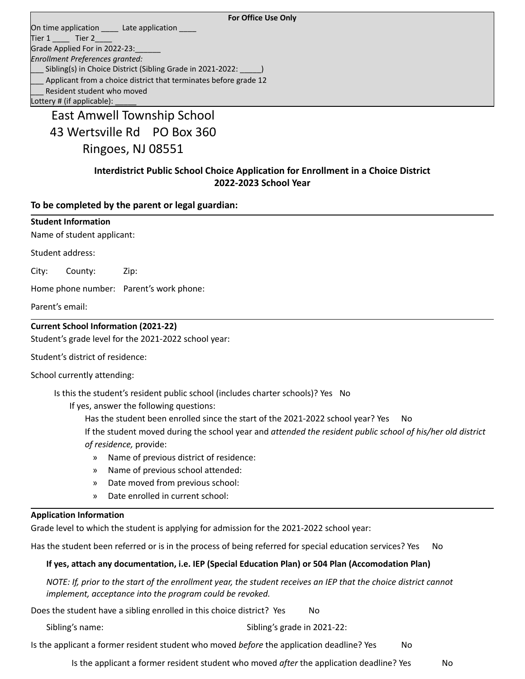#### **For Office Use Only**

On time application \_\_\_\_\_\_ Late application Tier  $1 \_\_\_$  Tier  $2 \_\_\_$ Grade Applied For in 2022-23: *Enrollment Preferences granted:* Sibling(s) in Choice District (Sibling Grade in 2021-2022: Applicant from a choice district that terminates before grade 12 Resident student who moved Lottery # (if applicable):

East Amwell Township School 43 Wertsville Rd PO Box 360 Ringoes, NJ 08551

## **Interdistrict Public School Choice Application for Enrollment in a Choice District 2022-2023 School Year**

**To be completed by the parent or legal guardian:**

| <b>Student Information</b><br>Name of student applicant: |                                                         |                                         |  |  |
|----------------------------------------------------------|---------------------------------------------------------|-----------------------------------------|--|--|
|                                                          | Student address:                                        |                                         |  |  |
| City:                                                    | County:                                                 | Zip:                                    |  |  |
|                                                          |                                                         | Home phone number: Parent's work phone: |  |  |
|                                                          | Parent's email:                                         |                                         |  |  |
|                                                          | <b>Current School Information (2021-22)</b>             |                                         |  |  |
| Student's grade level for the 2021-2022 school year:     |                                                         |                                         |  |  |
|                                                          | Student's district of residence:                        |                                         |  |  |
|                                                          | المستحلف والمستحقق والشوير ويستحيظ المستحارات والمتاريخ |                                         |  |  |

School currently attending:

Is this the student's resident public school (includes charter schools)? Yes No

If yes, answer the following questions:

Has the student been enrolled since the start of the 2021-2022 school year? Yes No

If the student moved during the school year and *attended the resident public school of his/her old district of residence,* provide:

- » Name of previous district of residence:
- » Name of previous school attended:
- » Date moved from previous school:
- » Date enrolled in current school:

#### **Application Information**

Grade level to which the student is applying for admission for the 2021-2022 school year:

Has the student been referred or is in the process of being referred for special education services? Yes No

## **If yes, attach any documentation, i.e. IEP (Special Education Plan) or 504 Plan (Accomodation Plan)**

NOTE: If, prior to the start of the enrollment year, the student receives an IEP that the choice district cannot *implement, acceptance into the program could be revoked.*

Does the student have a sibling enrolled in this choice district? Yes Mo

Sibling's name: Sibling's grade in 2021-22:

Is the applicant a former resident student who moved *before* the application deadline? Yes No

Is the applicant a former resident student who moved *after* the application deadline? Yes No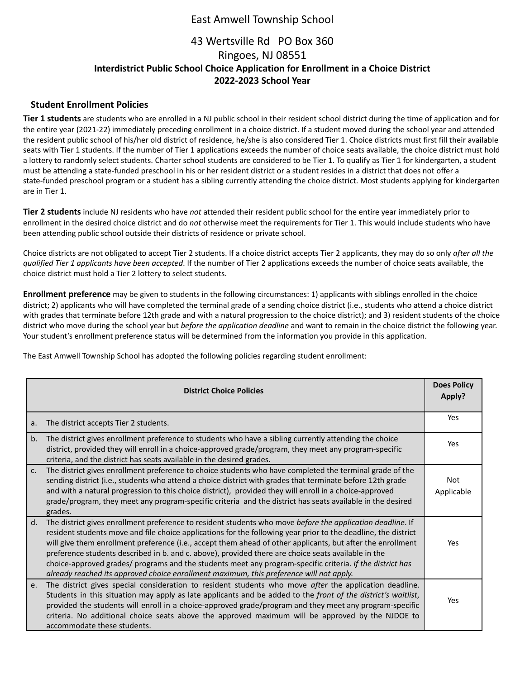## East Amwell Township School

# 43 Wertsville Rd PO Box 360 Ringoes, NJ 08551 **Interdistrict Public School Choice Application for Enrollment in a Choice District 2022-2023 School Year**

### **Student Enrollment Policies**

**Tier 1 students** are students who are enrolled in a NJ public school in their resident school district during the time of application and for the entire year (2021-22) immediately preceding enrollment in a choice district. If a student moved during the school year and attended the resident public school of his/her old district of residence, he/she is also considered Tier 1. Choice districts must first fill their available seats with Tier 1 students. If the number of Tier 1 applications exceeds the number of choice seats available, the choice district must hold a lottery to randomly select students. Charter school students are considered to be Tier 1. To qualify as Tier 1 for kindergarten, a student must be attending a state-funded preschool in his or her resident district or a student resides in a district that does not offer a state-funded preschool program or a student has a sibling currently attending the choice district. Most students applying for kindergarten are in Tier 1.

**Tier 2 students** include NJ residents who have *not* attended their resident public school for the entire year immediately prior to enrollment in the desired choice district and do *not* otherwise meet the requirements for Tier 1. This would include students who have been attending public school outside their districts of residence or private school.

Choice districts are not obligated to accept Tier 2 students. If a choice district accepts Tier 2 applicants, they may do so only *after all the qualified Tier 1 applicants have been accepted*. If the number of Tier 2 applications exceeds the number of choice seats available, the choice district must hold a Tier 2 lottery to select students.

**Enrollment preference** may be given to students in the following circumstances: 1) applicants with siblings enrolled in the choice district; 2) applicants who will have completed the terminal grade of a sending choice district (i.e., students who attend a choice district with grades that terminate before 12th grade and with a natural progression to the choice district); and 3) resident students of the choice district who move during the school year but *before the application deadline* and want to remain in the choice district the following year. Your student's enrollment preference status will be determined from the information you provide in this application.

The East Amwell Township School has adopted the following policies regarding student enrollment:

| <b>District Choice Policies</b> |                                                                                                                                                                                                                                                                                                                                                                                                                                                                                                                                                                                                                                                            |                   |
|---------------------------------|------------------------------------------------------------------------------------------------------------------------------------------------------------------------------------------------------------------------------------------------------------------------------------------------------------------------------------------------------------------------------------------------------------------------------------------------------------------------------------------------------------------------------------------------------------------------------------------------------------------------------------------------------------|-------------------|
| a.                              | The district accepts Tier 2 students.                                                                                                                                                                                                                                                                                                                                                                                                                                                                                                                                                                                                                      | Yes               |
| b.                              | The district gives enrollment preference to students who have a sibling currently attending the choice<br>district, provided they will enroll in a choice-approved grade/program, they meet any program-specific<br>criteria, and the district has seats available in the desired grades.                                                                                                                                                                                                                                                                                                                                                                  | Yes               |
| C <sub>1</sub>                  | The district gives enrollment preference to choice students who have completed the terminal grade of the<br>sending district (i.e., students who attend a choice district with grades that terminate before 12th grade<br>and with a natural progression to this choice district), provided they will enroll in a choice-approved<br>grade/program, they meet any program-specific criteria and the district has seats available in the desired<br>grades.                                                                                                                                                                                                 | Not<br>Applicable |
| d.                              | The district gives enrollment preference to resident students who move before the application deadline. If<br>resident students move and file choice applications for the following year prior to the deadline, the district<br>will give them enrollment preference (i.e., accept them ahead of other applicants, but after the enrollment<br>preference students described in b. and c. above), provided there are choice seats available in the<br>choice-approved grades/ programs and the students meet any program-specific criteria. If the district has<br>already reached its approved choice enrollment maximum, this preference will not apply. | Yes               |
| e.                              | The district gives special consideration to resident students who move after the application deadline.<br>Students in this situation may apply as late applicants and be added to the front of the district's waitlist,<br>provided the students will enroll in a choice-approved grade/program and they meet any program-specific<br>criteria. No additional choice seats above the approved maximum will be approved by the NJDOE to<br>accommodate these students.                                                                                                                                                                                      | Yes               |